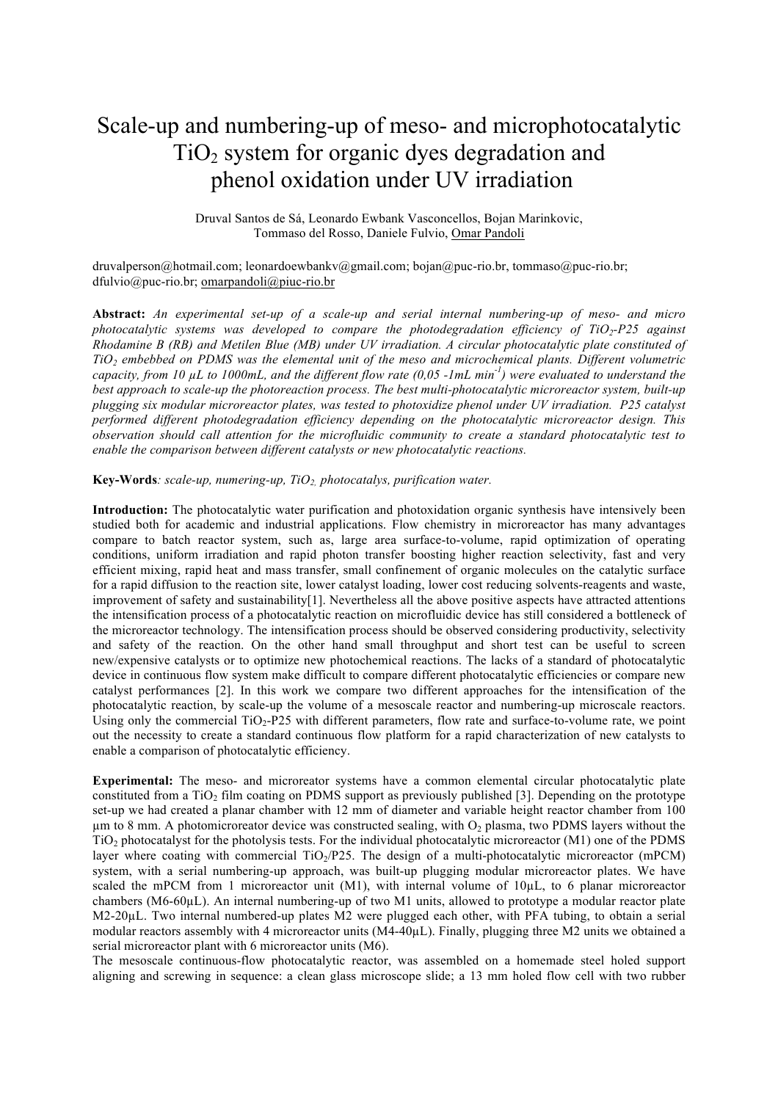## Scale-up and numbering-up of meso- and microphotocatalytic  $TiO<sub>2</sub>$  system for organic dyes degradation and phenol oxidation under UV irradiation

Druval Santos de Sá, Leonardo Ewbank Vasconcellos, Bojan Marinkovic, Tommaso del Rosso, Daniele Fulvio, Omar Pandoli

[druvalperson@hotmail.com](mailto:druvalperson@hotmail.com); leonardoewbankv@gmail.com; [bojan@puc-rio.br,](mailto:bojan@puc-rio.br) tommaso@puc-rio.br; [dfulvio@puc-rio.br](mailto:dfulvio@puc-rio.br); omarpandoli@piuc-rio.br

**Abstract:** *An experimental set-up of a scale-up and serial internal numbering-up of meso- and micro photocatalytic systems was developed to compare the photodegradation efficiency of TiO2-P25 against Rhodamine B (RB) and Metilen Blue (MB) under UV irradiation. A circular photocatalytic plate constituted of TiO2 embebbed on PDMS was the elemental unit of the meso and microchemical plants. Different volumetric capacity, from 10 µL to 1000mL, and the different flow rate (0,05 -1mL min-1 ) were evaluated to understand the best approach to scale-up the photoreaction process. The best multi-photocatalytic microreactor system, built-up plugging six modular microreactor plates, was tested to photoxidize phenol under UV irradiation. P25 catalyst performed different photodegradation efficiency depending on the photocatalytic microreactor design. This observation should call attention for the microfluidic community to create a standard photocatalytic test to enable the comparison between different catalysts or new photocatalytic reactions.* 

**Key-Words***: scale-up, numering-up, TiO2, photocatalys, purification water.*

**Introduction:** The photocatalytic water purification and photoxidation organic synthesis have intensively been studied both for academic and industrial applications. Flow chemistry in microreactor has many advantages compare to batch reactor system, such as, large area surface-to-volume, rapid optimization of operating conditions, uniform irradiation and rapid photon transfer boosting higher reaction selectivity, fast and very efficient mixing, rapid heat and mass transfer, small confinement of organic molecules on the catalytic surface for a rapid diffusion to the reaction site, lower catalyst loading, lower cost reducing solvents-reagents and waste, improvement of safety and sustainability[1]. Nevertheless all the above positive aspects have attracted attentions the intensification process of a photocatalytic reaction on microfluidic device has still considered a bottleneck of the microreactor technology. The intensification process should be observed considering productivity, selectivity and safety of the reaction. On the other hand small throughput and short test can be useful to screen new/expensive catalysts or to optimize new photochemical reactions. The lacks of a standard of photocatalytic device in continuous flow system make difficult to compare different photocatalytic efficiencies or compare new catalyst performances [2]. In this work we compare two different approaches for the intensification of the photocatalytic reaction, by scale-up the volume of a mesoscale reactor and numbering-up microscale reactors. Using only the commercial  $TiO<sub>2</sub>-P25$  with different parameters, flow rate and surface-to-volume rate, we point out the necessity to create a standard continuous flow platform for a rapid characterization of new catalysts to enable a comparison of photocatalytic efficiency.

**Experimental:** The meso- and microreator systems have a common elemental circular photocatalytic plate constituted from a TiO<sub>2</sub> film coating on PDMS support as previously published [3]. Depending on the prototype set-up we had created a planar chamber with 12 mm of diameter and variable height reactor chamber from 100  $\mu$ m to 8 mm. A photomicroreator device was constructed sealing, with O<sub>2</sub> plasma, two PDMS layers without the  $TiO<sub>2</sub>$  photocatalyst for the photolysis tests. For the individual photocatalytic microreactor (M1) one of the PDMS layer where coating with commercial  $TiO<sub>2</sub>/P25$ . The design of a multi-photocatalytic microreactor (mPCM) system, with a serial numbering-up approach, was built-up plugging modular microreactor plates. We have scaled the mPCM from 1 microreactor unit (M1), with internal volume of  $10\mu$ L, to 6 planar microreactor chambers (M6-60µL). An internal numbering-up of two M1 units, allowed to prototype a modular reactor plate M2-20µL. Two internal numbered-up plates M2 were plugged each other, with PFA tubing, to obtain a serial modular reactors assembly with 4 microreactor units (M4-40µL). Finally, plugging three M2 units we obtained a serial microreactor plant with 6 microreactor units (M6).

The mesoscale continuous-flow photocatalytic reactor, was assembled on a homemade steel holed support aligning and screwing in sequence: a clean glass microscope slide; a 13 mm holed flow cell with two rubber